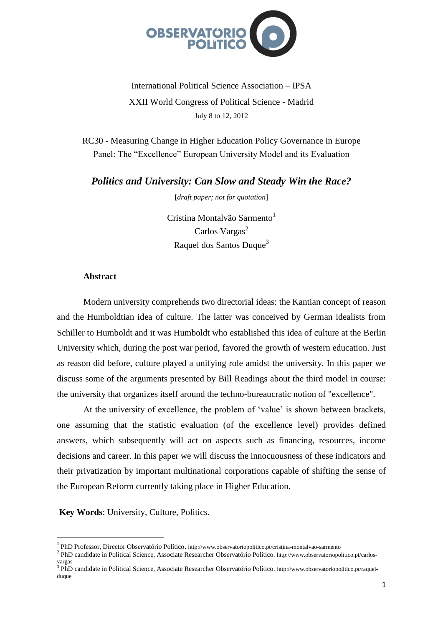

International Political Science Association – IPSA XXII World Congress of Political Science - Madrid July 8 to 12, 2012

RC30 - Measuring Change in Higher Education Policy Governance in Europe Panel: The "Excellence" European University Model and its Evaluation

*Politics and University: Can Slow and Steady Win the Race?*

[*draft paper; not for quotation*]

Cristina Montalvão Sarmento<sup>1</sup> Carlos Vargas<sup>2</sup> Raquel dos Santos Duque<sup>3</sup>

## **Abstract**

Modern university comprehends two directorial ideas: the Kantian concept of reason and the Humboldtian idea of culture. The latter was conceived by German idealists from Schiller to Humboldt and it was Humboldt who established this idea of culture at the Berlin University which, during the post war period, favored the growth of western education. Just as reason did before, culture played a unifying role amidst the university. In this paper we discuss some of the arguments presented by Bill Readings about the third model in course: the university that organizes itself around the techno-bureaucratic notion of "excellence".

At the university of excellence, the problem of 'value' is shown between brackets, one assuming that the statistic evaluation (of the excellence level) provides defined answers, which subsequently will act on aspects such as financing, resources, income decisions and career. In this paper we will discuss the innocuousness of these indicators and their privatization by important multinational corporations capable of shifting the sense of the European Reform currently taking place in Higher Education.

**Key Words**: University, Culture, Politics.

 $\overline{\phantom{a}}$ 

<sup>&</sup>lt;sup>1</sup> PhD Professor, Director Observatório Político. http://www.observatoriopolitico.pt/cristina-montalvao-sarmento

<sup>&</sup>lt;sup>2</sup> PhD candidate in Political Science, Associate Researcher Observatório Político. http://www.observatoriopolitico.pt/carlosvargas

<sup>&</sup>lt;sup>3</sup> PhD candidate in Political Science, Associate Researcher Observatório Político. http://www.observatoriopolitico.pt/raquelduque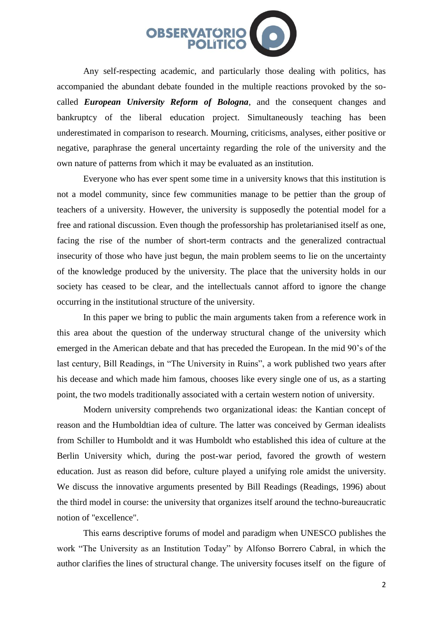

Any self-respecting academic, and particularly those dealing with politics, has accompanied the abundant debate founded in the multiple reactions provoked by the socalled *European University Reform of Bologna*, and the consequent changes and bankruptcy of the liberal education project. Simultaneously teaching has been underestimated in comparison to research. Mourning, criticisms, analyses, either positive or negative, paraphrase the general uncertainty regarding the role of the university and the own nature of patterns from which it may be evaluated as an institution.

Everyone who has ever spent some time in a university knows that this institution is not a model community, since few communities manage to be pettier than the group of teachers of a university. However, the university is supposedly the potential model for a free and rational discussion. Even though the professorship has proletarianised itself as one, facing the rise of the number of short-term contracts and the generalized contractual insecurity of those who have just begun, the main problem seems to lie on the uncertainty of the knowledge produced by the university. The place that the university holds in our society has ceased to be clear, and the intellectuals cannot afford to ignore the change occurring in the institutional structure of the university.

In this paper we bring to public the main arguments taken from a reference work in this area about the question of the underway structural change of the university which emerged in the American debate and that has preceded the European. In the mid 90's of the last century, Bill Readings, in "The University in Ruins", a work published two years after his decease and which made him famous, chooses like every single one of us, as a starting point, the two models traditionally associated with a certain western notion of university.

Modern university comprehends two organizational ideas: the Kantian concept of reason and the Humboldtian idea of culture. The latter was conceived by German idealists from Schiller to Humboldt and it was Humboldt who established this idea of culture at the Berlin University which, during the post-war period, favored the growth of western education. Just as reason did before, culture played a unifying role amidst the university. We discuss the innovative arguments presented by Bill Readings (Readings, 1996) about the third model in course: the university that organizes itself around the techno-bureaucratic notion of "excellence".

This earns descriptive forums of model and paradigm when UNESCO publishes the work "The University as an Institution Today" by Alfonso Borrero Cabral, in which the author clarifies the lines of structural change. The university focuses itself on the figure of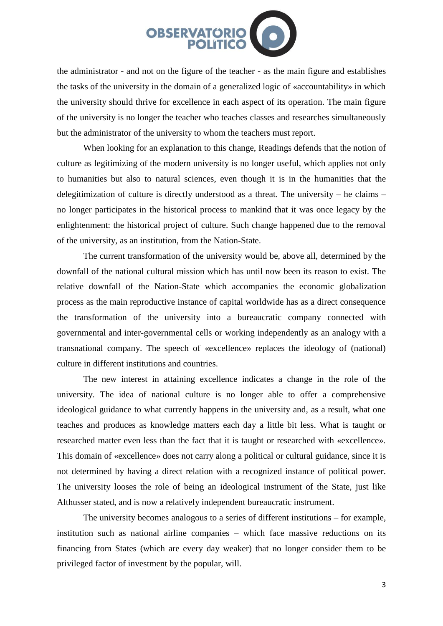

the administrator - and not on the figure of the teacher - as the main figure and establishes the tasks of the university in the domain of a generalized logic of «accountability» in which the university should thrive for excellence in each aspect of its operation. The main figure of the university is no longer the teacher who teaches classes and researches simultaneously but the administrator of the university to whom the teachers must report.

When looking for an explanation to this change, Readings defends that the notion of culture as legitimizing of the modern university is no longer useful, which applies not only to humanities but also to natural sciences, even though it is in the humanities that the delegitimization of culture is directly understood as a threat. The university – he claims – no longer participates in the historical process to mankind that it was once legacy by the enlightenment: the historical project of culture. Such change happened due to the removal of the university, as an institution, from the Nation-State.

The current transformation of the university would be, above all, determined by the downfall of the national cultural mission which has until now been its reason to exist. The relative downfall of the Nation-State which accompanies the economic globalization process as the main reproductive instance of capital worldwide has as a direct consequence the transformation of the university into a bureaucratic company connected with governmental and inter-governmental cells or working independently as an analogy with a transnational company. The speech of «excellence» replaces the ideology of (national) culture in different institutions and countries.

The new interest in attaining excellence indicates a change in the role of the university. The idea of national culture is no longer able to offer a comprehensive ideological guidance to what currently happens in the university and, as a result, what one teaches and produces as knowledge matters each day a little bit less. What is taught or researched matter even less than the fact that it is taught or researched with «excellence». This domain of «excellence» does not carry along a political or cultural guidance, since it is not determined by having a direct relation with a recognized instance of political power. The university looses the role of being an ideological instrument of the State, just like Althusser stated, and is now a relatively independent bureaucratic instrument.

The university becomes analogous to a series of different institutions – for example, institution such as national airline companies – which face massive reductions on its financing from States (which are every day weaker) that no longer consider them to be privileged factor of investment by the popular, will.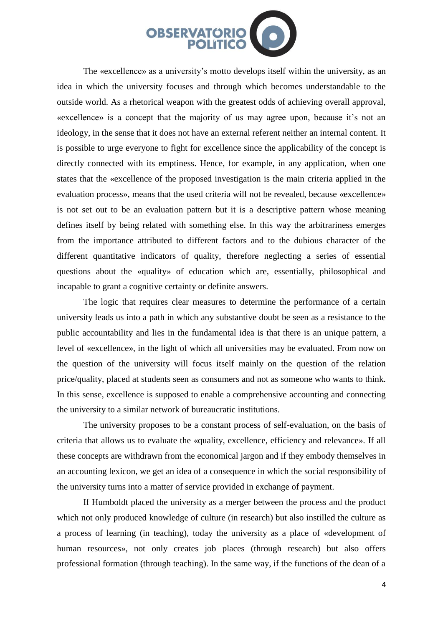

The «excellence» as a university's motto develops itself within the university, as an idea in which the university focuses and through which becomes understandable to the outside world. As a rhetorical weapon with the greatest odds of achieving overall approval, «excellence» is a concept that the majority of us may agree upon, because it's not an ideology, in the sense that it does not have an external referent neither an internal content. It is possible to urge everyone to fight for excellence since the applicability of the concept is directly connected with its emptiness. Hence, for example, in any application, when one states that the «excellence of the proposed investigation is the main criteria applied in the evaluation process», means that the used criteria will not be revealed, because «excellence» is not set out to be an evaluation pattern but it is a descriptive pattern whose meaning defines itself by being related with something else. In this way the arbitrariness emerges from the importance attributed to different factors and to the dubious character of the different quantitative indicators of quality, therefore neglecting a series of essential questions about the «quality» of education which are, essentially, philosophical and incapable to grant a cognitive certainty or definite answers.

The logic that requires clear measures to determine the performance of a certain university leads us into a path in which any substantive doubt be seen as a resistance to the public accountability and lies in the fundamental idea is that there is an unique pattern, a level of «excellence», in the light of which all universities may be evaluated. From now on the question of the university will focus itself mainly on the question of the relation price/quality, placed at students seen as consumers and not as someone who wants to think. In this sense, excellence is supposed to enable a comprehensive accounting and connecting the university to a similar network of bureaucratic institutions.

The university proposes to be a constant process of self-evaluation, on the basis of criteria that allows us to evaluate the «quality, excellence, efficiency and relevance». If all these concepts are withdrawn from the economical jargon and if they embody themselves in an accounting lexicon, we get an idea of a consequence in which the social responsibility of the university turns into a matter of service provided in exchange of payment.

If Humboldt placed the university as a merger between the process and the product which not only produced knowledge of culture (in research) but also instilled the culture as a process of learning (in teaching), today the university as a place of «development of human resources», not only creates job places (through research) but also offers professional formation (through teaching). In the same way, if the functions of the dean of a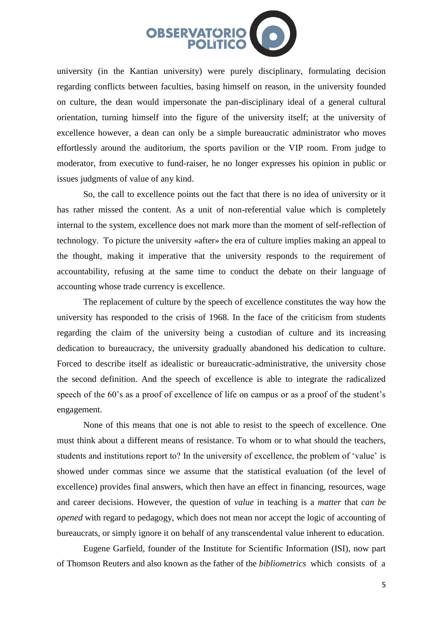

university (in the Kantian university) were purely disciplinary, formulating decision regarding conflicts between faculties, basing himself on reason, in the university founded on culture, the dean would impersonate the pan-disciplinary ideal of a general cultural orientation, turning himself into the figure of the university itself; at the university of excellence however, a dean can only be a simple bureaucratic administrator who moves effortlessly around the auditorium, the sports pavilion or the VIP room. From judge to moderator, from executive to fund-raiser, he no longer expresses his opinion in public or issues judgments of value of any kind.

So, the call to excellence points out the fact that there is no idea of university or it has rather missed the content. As a unit of non-referential value which is completely internal to the system, excellence does not mark more than the moment of self-reflection of technology. To picture the university «after» the era of culture implies making an appeal to the thought, making it imperative that the university responds to the requirement of accountability, refusing at the same time to conduct the debate on their language of accounting whose trade currency is excellence.

The replacement of culture by the speech of excellence constitutes the way how the university has responded to the crisis of 1968. In the face of the criticism from students regarding the claim of the university being a custodian of culture and its increasing dedication to bureaucracy, the university gradually abandoned his dedication to culture. Forced to describe itself as idealistic or bureaucratic-administrative, the university chose the second definition. And the speech of excellence is able to integrate the radicalized speech of the 60's as a proof of excellence of life on campus or as a proof of the student's engagement.

None of this means that one is not able to resist to the speech of excellence. One must think about a different means of resistance. To whom or to what should the teachers, students and institutions report to? In the university of excellence, the problem of 'value' is showed under commas since we assume that the statistical evaluation (of the level of excellence) provides final answers, which then have an effect in financing, resources, wage and career decisions. However, the question of *value* in teaching is a *matter* that *can be opened* with regard to pedagogy, which does not mean nor accept the logic of accounting of bureaucrats, or simply ignore it on behalf of any transcendental value inherent to education.

Eugene Garfield, founder of the Institute for Scientific Information (ISI), now part of Thomson Reuters and also known as the father of the *bibliometrics* which consists of a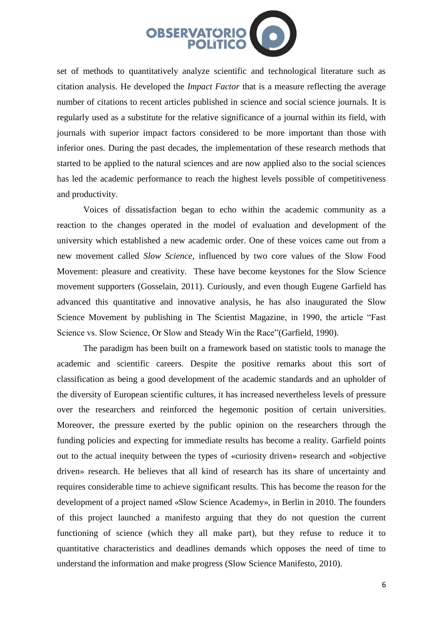

set of methods to quantitatively analyze scientific and technological literature such as citation analysis. He developed the *Impact Factor* that is a measure reflecting the average number of citations to recent articles published in science and social science journals. It is regularly used as a substitute for the relative significance of a journal within its field, with journals with superior impact factors considered to be more important than those with inferior ones. During the past decades, the implementation of these research methods that started to be applied to the natural sciences and are now applied also to the social sciences has led the academic performance to reach the highest levels possible of competitiveness and productivity.

Voices of dissatisfaction began to echo within the academic community as a reaction to the changes operated in the model of evaluation and development of the university which established a new academic order. One of these voices came out from a new movement called *Slow Science*, influenced by two core values of the Slow Food Movement: pleasure and creativity. These have become keystones for the Slow Science movement supporters (Gosselain, 2011). Curiously, and even though Eugene Garfield has advanced this quantitative and innovative analysis, he has also inaugurated the Slow Science Movement by publishing in The Scientist Magazine, in 1990, the article "Fast Science vs. Slow Science, Or Slow and Steady Win the Race"(Garfield, 1990).

The paradigm has been built on a framework based on statistic tools to manage the academic and scientific careers. Despite the positive remarks about this sort of classification as being a good development of the academic standards and an upholder of the diversity of European scientific cultures, it has increased nevertheless levels of pressure over the researchers and reinforced the hegemonic position of certain universities. Moreover, the pressure exerted by the public opinion on the researchers through the funding policies and expecting for immediate results has become a reality. Garfield points out to the actual inequity between the types of «curiosity driven» research and «objective driven» research. He believes that all kind of research has its share of uncertainty and requires considerable time to achieve significant results. This has become the reason for the development of a project named «Slow Science Academy», in Berlin in 2010. The founders of this project launched a manifesto arguing that they do not question the current functioning of science (which they all make part), but they refuse to reduce it to quantitative characteristics and deadlines demands which opposes the need of time to understand the information and make progress (Slow Science Manifesto, 2010).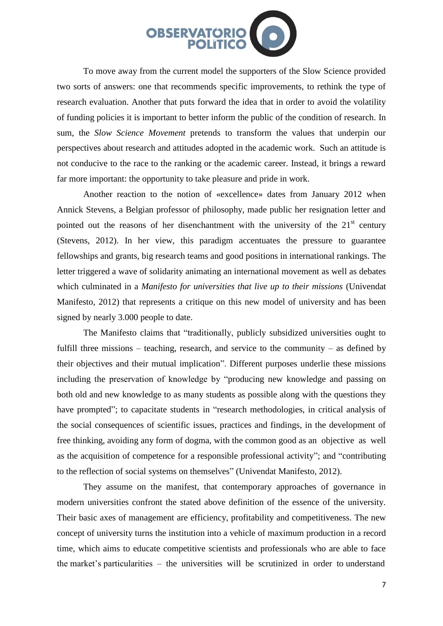

To move away from the current model the supporters of the Slow Science provided two sorts of answers: one that recommends specific improvements, to rethink the type of research evaluation. Another that puts forward the idea that in order to avoid the volatility of funding policies it is important to better inform the public of the condition of research. In sum, the *Slow Science Movement* pretends to transform the values that underpin our perspectives about research and attitudes adopted in the academic work. Such an attitude is not conducive to the race to the ranking or the academic career. Instead, it brings a reward far more important: the opportunity to take pleasure and pride in work.

Another reaction to the notion of «excellence» dates from January 2012 when Annick Stevens, a Belgian professor of philosophy, made public her resignation letter and pointed out the reasons of her disenchantment with the university of the  $21<sup>st</sup>$  century (Stevens, 2012). In her view, this paradigm accentuates the pressure to guarantee fellowships and grants, big research teams and good positions in international rankings. The letter triggered a wave of solidarity animating an international movement as well as debates which culminated in a *Manifesto for universities that live up to their missions* (Univendat Manifesto, 2012) that represents a critique on this new model of university and has been signed by nearly 3.000 people to date.

The Manifesto claims that "traditionally, publicly subsidized universities ought to fulfill three missions – teaching, research, and service to the community – as defined by their objectives and their mutual implication". Different purposes underlie these missions including the preservation of knowledge by "producing new knowledge and passing on both old and new knowledge to as many students as possible along with the questions they have prompted"; to capacitate students in "research methodologies, in critical analysis of the social consequences of scientific issues, practices and findings, in the development of free thinking, avoiding any form of dogma, with the common good as an objective as well as the acquisition of competence for a responsible professional activity"; and "contributing to the reflection of social systems on themselves" (Univendat Manifesto, 2012).

They assume on the manifest, that contemporary approaches of governance in modern universities confront the stated above definition of the essence of the university. Their basic axes of management are efficiency, profitability and competitiveness. The new concept of university turns the institution into a vehicle of maximum production in a record time, which aims to educate competitive scientists and professionals who are able to face the market's particularities – the universities will be scrutinized in order to understand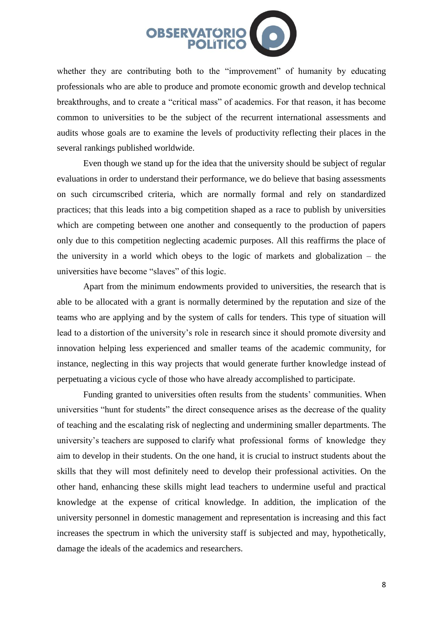

whether they are contributing both to the "improvement" of humanity by educating professionals who are able to produce and promote economic growth and develop technical breakthroughs, and to create a "critical mass" of academics. For that reason, it has become common to universities to be the subject of the recurrent international assessments and audits whose goals are to examine the levels of productivity reflecting their places in the several rankings published worldwide.

Even though we stand up for the idea that the university should be subject of regular evaluations in order to understand their performance, we do believe that basing assessments on such circumscribed criteria, which are normally formal and rely on standardized practices; that this leads into a big competition shaped as a race to publish by universities which are competing between one another and consequently to the production of papers only due to this competition neglecting academic purposes. All this reaffirms the place of the university in a world which obeys to the logic of markets and globalization – the universities have become "slaves" of this logic.

Apart from the minimum endowments provided to universities, the research that is able to be allocated with a grant is normally determined by the reputation and size of the teams who are applying and by the system of calls for tenders. This type of situation will lead to a distortion of the university's role in research since it should promote diversity and innovation helping less experienced and smaller teams of the academic community, for instance, neglecting in this way projects that would generate further knowledge instead of perpetuating a vicious cycle of those who have already accomplished to participate.

Funding granted to universities often results from the students' communities. When universities "hunt for students" the direct consequence arises as the decrease of the quality of teaching and the escalating risk of neglecting and undermining smaller departments. The university's teachers are supposed to clarify what professional forms of knowledge they aim to develop in their students. On the one hand, it is crucial to instruct students about the skills that they will most definitely need to develop their professional activities. On the other hand, enhancing these skills might lead teachers to undermine useful and practical knowledge at the expense of critical knowledge. In addition, the implication of the university personnel in domestic management and representation is increasing and this fact increases the spectrum in which the university staff is subjected and may, hypothetically, damage the ideals of the academics and researchers.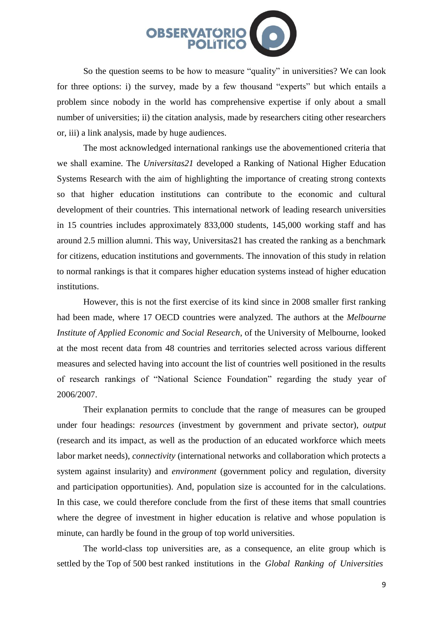

So the question seems to be how to measure "quality" in universities? We can look for three options: i) the survey, made by a few thousand "experts" but which entails a problem since nobody in the world has comprehensive expertise if only about a small number of universities; ii) the citation analysis, made by researchers citing other researchers or, iii) a link analysis, made by huge audiences.

The most acknowledged international rankings use the abovementioned criteria that we shall examine. The *Universitas21* developed a Ranking of National Higher Education Systems Research with the aim of highlighting the importance of creating strong contexts so that higher education institutions can contribute to the economic and cultural development of their countries. This international network of leading research universities in 15 countries includes approximately 833,000 students, 145,000 working staff and has around 2.5 million alumni. This way, Universitas21 has created the ranking as a benchmark for citizens, education institutions and governments. The innovation of this study in relation to normal rankings is that it compares higher education systems instead of higher education institutions.

However, this is not the first exercise of its kind since in 2008 smaller first ranking had been made, where 17 OECD countries were analyzed. The authors at the *Melbourne Institute of Applied Economic and Social Research*, of the University of Melbourne, looked at the most recent data from 48 countries and territories selected across various different measures and selected having into account the list of countries well positioned in the results of research rankings of "National Science Foundation" regarding the study year of 2006/2007.

Their explanation permits to conclude that the range of measures can be grouped under four headings: *resources* (investment by government and private sector), *output* (research and its impact, as well as the production of an educated workforce which meets labor market needs), *connectivity* (international networks and collaboration which protects a system against insularity) and *environment* (government policy and regulation, diversity and participation opportunities). And, population size is accounted for in the calculations. In this case, we could therefore conclude from the first of these items that small countries where the degree of investment in higher education is relative and whose population is minute, can hardly be found in the group of top world universities.

The world-class top universities are, as a consequence, an elite group which is settled by the Top of 500 best ranked institutions in the *Global Ranking of Universities*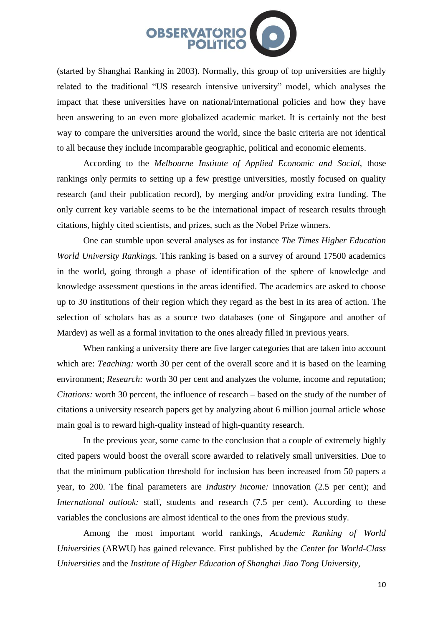

(started by Shanghai Ranking in 2003). Normally, this group of top universities are highly related to the traditional "US research intensive university" model, which analyses the impact that these universities have on national/international policies and how they have been answering to an even more globalized academic market. It is certainly not the best way to compare the universities around the world, since the basic criteria are not identical to all because they include incomparable geographic, political and economic elements.

According to the *Melbourne Institute of Applied Economic and Social*, those rankings only permits to setting up a few prestige universities, mostly focused on quality research (and their publication record), by merging and/or providing extra funding. The only current key variable seems to be the international impact of research results through citations, highly cited scientists, and prizes, such as the Nobel Prize winners.

One can stumble upon several analyses as for instance *The Times Higher Education World University Rankings.* This ranking is based on a survey of around 17500 academics in the world, going through a phase of identification of the sphere of knowledge and knowledge assessment questions in the areas identified. The academics are asked to choose up to 30 institutions of their region which they regard as the best in its area of action. The selection of scholars has as a source two databases (one of Singapore and another of Mardev) as well as a formal invitation to the ones already filled in previous years.

When ranking a university there are five larger categories that are taken into account which are: *Teaching*: worth 30 per cent of the overall score and it is based on the learning environment; *Research:* worth 30 per cent and analyzes the volume, income and reputation; *Citations:* worth 30 percent, the influence of research – based on the study of the number of citations a university research papers get by analyzing about 6 million journal article whose main goal is to reward high-quality instead of high-quantity research.

In the previous year, some came to the conclusion that a couple of extremely highly cited papers would boost the overall score awarded to relatively small universities. Due to that the minimum publication threshold for inclusion has been increased from 50 papers a year, to 200. The final parameters are *Industry income:* innovation (2.5 per cent); and *International outlook:* staff, students and research (7.5 per cent). According to these variables the conclusions are almost identical to the ones from the previous study.

Among the most important world rankings, *Academic Ranking of World Universities* (ARWU) has gained relevance. First published by the *Center for World-Class Universities* and the *Institute of Higher Education of Shanghai Jiao Tong University,*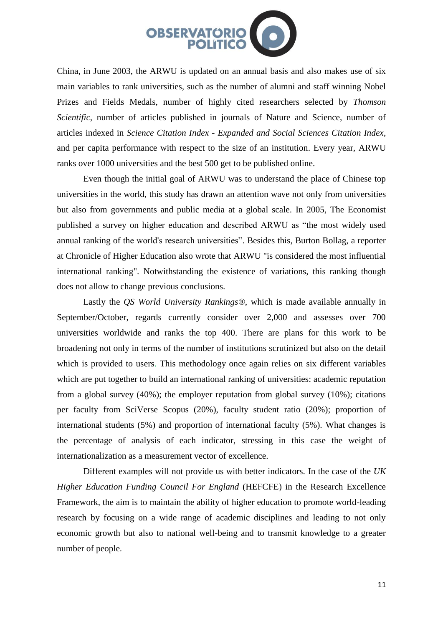

China, in June 2003, the ARWU is updated on an annual basis and also makes use of six main variables to rank universities, such as the number of alumni and staff winning Nobel Prizes and Fields Medals, number of highly cited researchers selected by *Thomson Scientific*, number of articles published in journals of Nature and Science, number of articles indexed in *Science Citation Index - Expanded and Social Sciences Citation Index*, and per capita performance with respect to the size of an institution. Every year, ARWU ranks over 1000 universities and the best 500 get to be published online.

Even though the initial goal of ARWU was to understand the place of Chinese top universities in the world, this study has drawn an attention wave not only from universities but also from governments and public media at a global scale. In 2005, The Economist published a survey on higher education and described ARWU as "the most widely used annual ranking of the world's research universities". Besides this, Burton Bollag, a reporter at Chronicle of Higher Education also wrote that ARWU "is considered the most influential international ranking". Notwithstanding the existence of variations, this ranking though does not allow to change previous conclusions.

Lastly the *QS World University Rankings®*, which is made available annually in September/October, regards currently consider over 2,000 and assesses over 700 universities worldwide and ranks the top 400. There are plans for this work to be broadening not only in terms of the number of institutions scrutinized but also on the detail which is provided to users. This methodology once again relies on six different variables which are put together to build an international ranking of universities: academic reputation from a global survey (40%); the employer reputation from global survey (10%); citations per faculty from SciVerse Scopus (20%), faculty student ratio (20%); proportion of international students (5%) and proportion of international faculty (5%). What changes is the percentage of analysis of each indicator, stressing in this case the weight of internationalization as a measurement vector of excellence.

Different examples will not provide us with better indicators. In the case of the *UK Higher Education Funding Council For England* (HEFCFE) in the Research Excellence Framework, the aim is to maintain the ability of higher education to promote world-leading research by focusing on a wide range of academic disciplines and leading to not only economic growth but also to national well-being and to transmit knowledge to a greater number of people.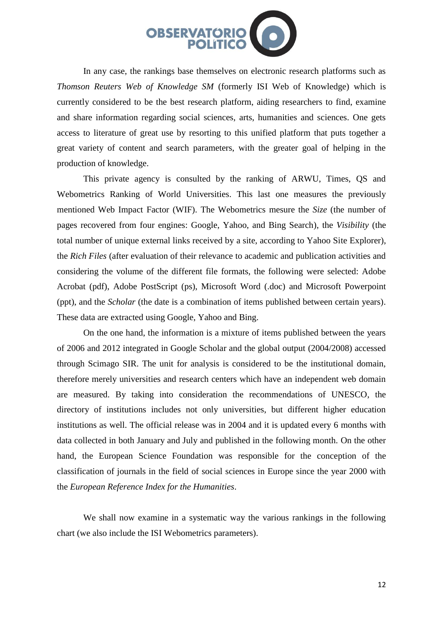

In any case, the rankings base themselves on electronic research platforms such as *Thomson Reuters Web of Knowledge SM* (formerly ISI Web of Knowledge) which is currently considered to be the best research platform, aiding researchers to find, examine and share information regarding social sciences, arts, humanities and sciences. One gets access to literature of great use by resorting to this unified platform that puts together a great variety of content and search parameters, with the greater goal of helping in the production of knowledge.

This private agency is consulted by the ranking of ARWU, Times, QS and Webometrics Ranking of World Universities. This last one measures the previously mentioned Web Impact Factor (WIF). The Webometrics mesure the *Size* (the number of pages recovered from four engines: Google, Yahoo, and Bing Search), the *Visibility* (the total number of unique external links received by a site, according to Yahoo Site Explorer), the *Rich Files* (after evaluation of their relevance to academic and publication activities and considering the volume of the different file formats, the following were selected: Adobe Acrobat (pdf), Adobe PostScript (ps), Microsoft Word (.doc) and Microsoft Powerpoint (ppt), and the *Scholar* (the date is a combination of items published between certain years). These data are extracted using Google, Yahoo and Bing.

On the one hand, the information is a mixture of items published between the years of 2006 and 2012 integrated in Google Scholar and the global output (2004/2008) accessed through Scimago SIR. The unit for analysis is considered to be the institutional domain, therefore merely universities and research centers which have an independent web domain are measured. By taking into consideration the recommendations of UNESCO, the directory of institutions includes not only universities, but different higher education institutions as well. The official release was in 2004 and it is updated every 6 months with data collected in both January and July and published in the following month. On the other hand, the European Science Foundation was responsible for the conception of the classification of journals in the field of social sciences in Europe since the year 2000 with the *European Reference Index for the Humanities*.

We shall now examine in a systematic way the various rankings in the following chart (we also include the ISI Webometrics parameters).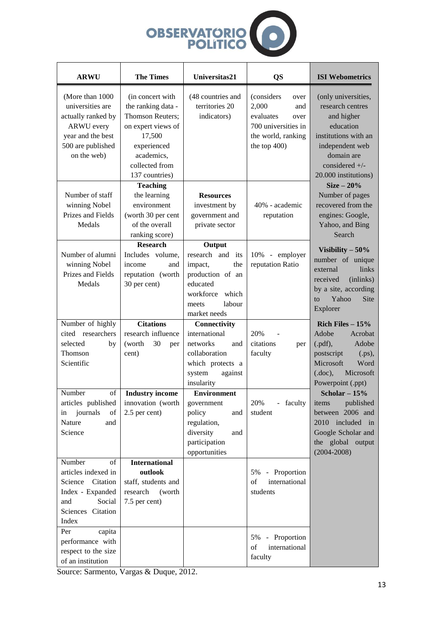

| <b>ARWU</b>                                                                                                                              | <b>The Times</b>                                                                                                                                                    | Universitas21                                                                                                                            | <b>QS</b>                                                                                                                | <b>ISI Webometrics</b>                                                                                                                                                                                                                                                           |
|------------------------------------------------------------------------------------------------------------------------------------------|---------------------------------------------------------------------------------------------------------------------------------------------------------------------|------------------------------------------------------------------------------------------------------------------------------------------|--------------------------------------------------------------------------------------------------------------------------|----------------------------------------------------------------------------------------------------------------------------------------------------------------------------------------------------------------------------------------------------------------------------------|
| (More than 1000)<br>universities are<br>actually ranked by<br><b>ARWU</b> every<br>year and the best<br>500 are published<br>on the web) | (in concert with)<br>the ranking data -<br><b>Thomson Reuters:</b><br>on expert views of<br>17,500<br>experienced<br>academics,<br>collected from<br>137 countries) | (48 countries and<br>territories 20<br>indicators)                                                                                       | (considers)<br>over<br>2,000<br>and<br>evaluates<br>over<br>700 universities in<br>the world, ranking<br>the top $400$ ) | (only universities,<br>research centres<br>and higher<br>education<br>institutions with an<br>independent web<br>domain are<br>considered $+/-$<br>20.000 institutions)<br>$Size-20\%$<br>Number of pages<br>recovered from the<br>engines: Google,<br>Yahoo, and Bing<br>Search |
| Number of staff<br>winning Nobel<br>Prizes and Fields<br>Medals                                                                          | <b>Teaching</b><br>the learning<br>environment<br>(worth 30 per cent<br>of the overall<br>ranking score)                                                            | <b>Resources</b><br>investment by<br>government and<br>private sector                                                                    | 40% - academic<br>reputation                                                                                             |                                                                                                                                                                                                                                                                                  |
| Number of alumni<br>winning Nobel<br>Prizes and Fields<br>Medals                                                                         | <b>Research</b><br>Includes volume,<br>income<br>and<br>reputation (worth<br>30 per cent)                                                                           | Output<br>research and<br>its<br>the<br>impact,<br>production of an<br>educated<br>workforce<br>which<br>labour<br>meets<br>market needs | 10% - employer<br>reputation Ratio                                                                                       | Visibility $-50\%$<br>number of unique<br>links<br>external<br>received<br>(inlinks)<br>by a site, according<br>Yahoo<br>Site<br>$\mathbf{t}$<br>Explorer                                                                                                                        |
| Number of highly<br>cited researchers<br>selected<br>by<br>Thomson<br>Scientific                                                         | <b>Citations</b><br>research influence<br>(worth)<br>30<br>per<br>cent)                                                                                             | Connectivity<br>international<br>networks<br>and<br>collaboration<br>which protects a<br>system<br>against<br>insularity                 | 20%<br>citations<br>per<br>faculty                                                                                       | Rich Files $-15%$<br>Adobe<br>Acrobat<br>Adobe<br>(.pdf),<br>$(ps)$ ,<br>postscript<br>Microsoft<br>Word<br>(doc),<br>Microsoft<br>Powerpoint (.ppt)                                                                                                                             |
| Number<br>of<br>articles published<br>journals<br>of<br>in<br>Nature<br>and<br>Science                                                   | <b>Industry income</b><br>innovation (worth<br>2.5 per cent)                                                                                                        | <b>Environment</b><br>government<br>policy<br>and<br>regulation,<br>diversity<br>and<br>participation<br>opportunities                   | 20%<br>faculty<br>student                                                                                                | Scholar $-15%$<br>published<br>items<br>between 2006 and<br>2010 included in<br>Google Scholar and<br>the global output<br>$(2004 - 2008)$                                                                                                                                       |
| Number<br>of<br>articles indexed in<br>Science Citation<br>Index - Expanded<br>Social<br>and<br>Sciences Citation<br>Index               | <b>International</b><br>outlook<br>staff, students and<br>research<br>(worth<br>7.5 per cent)                                                                       |                                                                                                                                          | 5% - Proportion<br>of<br>international<br>students                                                                       |                                                                                                                                                                                                                                                                                  |
| capita<br>Per<br>performance with<br>respect to the size<br>of an institution                                                            |                                                                                                                                                                     |                                                                                                                                          | 5%<br>Proportion<br>$\blacksquare$<br>international<br>of<br>faculty                                                     |                                                                                                                                                                                                                                                                                  |

Source: Sarmento, Vargas & Duque, 2012.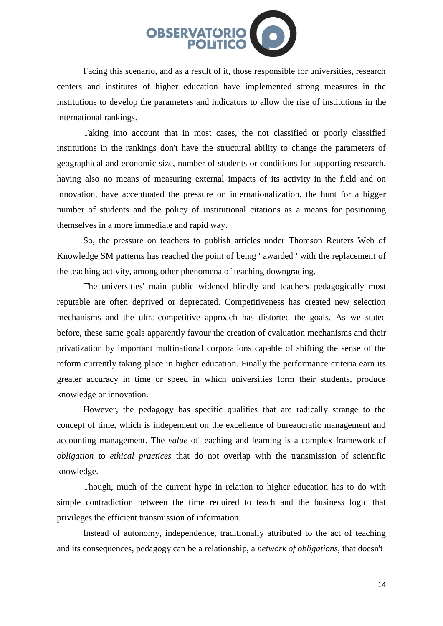

Facing this scenario, and as a result of it, those responsible for universities, research centers and institutes of higher education have implemented strong measures in the institutions to develop the parameters and indicators to allow the rise of institutions in the international rankings.

Taking into account that in most cases, the not classified or poorly classified institutions in the rankings don't have the structural ability to change the parameters of geographical and economic size, number of students or conditions for supporting research, having also no means of measuring external impacts of its activity in the field and on innovation, have accentuated the pressure on internationalization, the hunt for a bigger number of students and the policy of institutional citations as a means for positioning themselves in a more immediate and rapid way.

So, the pressure on teachers to publish articles under Thomson Reuters Web of Knowledge SM patterns has reached the point of being ' awarded ' with the replacement of the teaching activity, among other phenomena of teaching downgrading.

The universities' main public widened blindly and teachers pedagogically most reputable are often deprived or deprecated. Competitiveness has created new selection mechanisms and the ultra-competitive approach has distorted the goals. As we stated before, these same goals apparently favour the creation of evaluation mechanisms and their privatization by important multinational corporations capable of shifting the sense of the reform currently taking place in higher education. Finally the performance criteria earn its greater accuracy in time or speed in which universities form their students, produce knowledge or innovation.

However, the pedagogy has specific qualities that are radically strange to the concept of time, which is independent on the excellence of bureaucratic management and accounting management. The *value* of teaching and learning is a complex framework of *obligation* to *ethical practices* that do not overlap with the transmission of scientific knowledge.

Though, much of the current hype in relation to higher education has to do with simple contradiction between the time required to teach and the business logic that privileges the efficient transmission of information.

Instead of autonomy, independence, traditionally attributed to the act of teaching and its consequences, pedagogy can be a relationship, a *network of obligations*, that doesn't